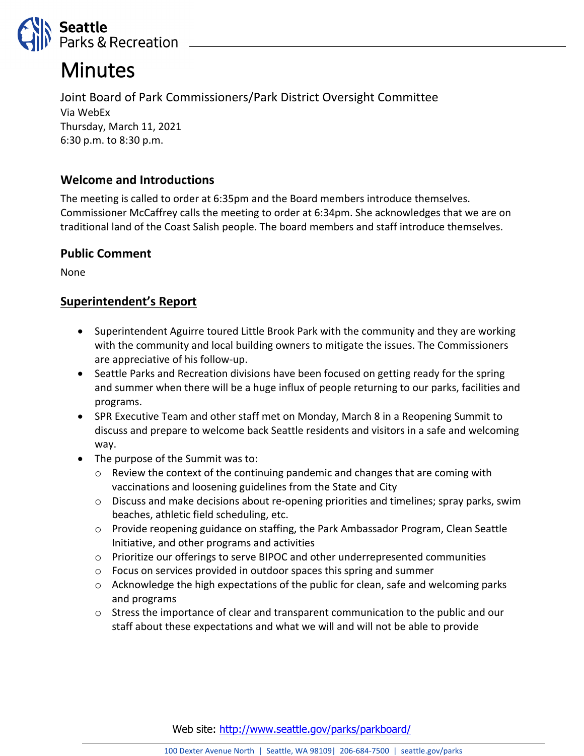

# **Minutes**

Joint Board of Park Commissioners/Park District Oversight Committee Via WebEx Thursday, March 11, 2021 6:30 p.m. to 8:30 p.m.

## **Welcome and Introductions**

The meeting is called to order at 6:35pm and the Board members introduce themselves. Commissioner McCaffrey calls the meeting to order at 6:34pm. She acknowledges that we are on traditional land of the Coast Salish people. The board members and staff introduce themselves.

## **Public Comment**

None

## **Superintendent's Report**

- Superintendent Aguirre toured Little Brook Park with the community and they are working with the community and local building owners to mitigate the issues. The Commissioners are appreciative of his follow-up.
- Seattle Parks and Recreation divisions have been focused on getting ready for the spring and summer when there will be a huge influx of people returning to our parks, facilities and programs.
- SPR Executive Team and other staff met on Monday, March 8 in a Reopening Summit to discuss and prepare to welcome back Seattle residents and visitors in a safe and welcoming way.
- The purpose of the Summit was to:
	- $\circ$  Review the context of the continuing pandemic and changes that are coming with vaccinations and loosening guidelines from the State and City
	- o Discuss and make decisions about re-opening priorities and timelines; spray parks, swim beaches, athletic field scheduling, etc.
	- o Provide reopening guidance on staffing, the Park Ambassador Program, Clean Seattle Initiative, and other programs and activities
	- $\circ$  Prioritize our offerings to serve BIPOC and other underrepresented communities
	- o Focus on services provided in outdoor spaces this spring and summer
	- $\circ$  Acknowledge the high expectations of the public for clean, safe and welcoming parks and programs
	- $\circ$  Stress the importance of clear and transparent communication to the public and our staff about these expectations and what we will and will not be able to provide

Web site: <http://www.seattle.gov/parks/parkboard/>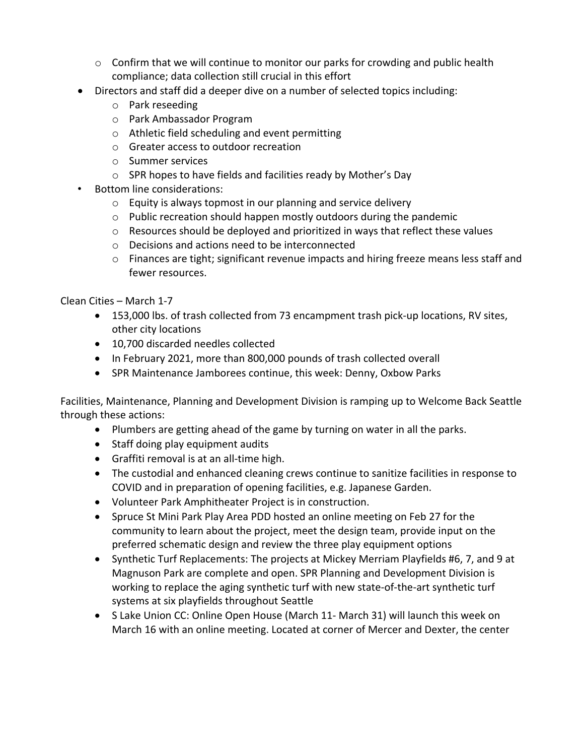- o Confirm that we will continue to monitor our parks for crowding and public health compliance; data collection still crucial in this effort
- Directors and staff did a deeper dive on a number of selected topics including:
	- o Park reseeding
	- o Park Ambassador Program
	- o Athletic field scheduling and event permitting
	- o Greater access to outdoor recreation
	- o Summer services
	- o SPR hopes to have fields and facilities ready by Mother's Day
- Bottom line considerations:
	- o Equity is always topmost in our planning and service delivery
	- o Public recreation should happen mostly outdoors during the pandemic
	- $\circ$  Resources should be deployed and prioritized in ways that reflect these values
	- o Decisions and actions need to be interconnected
	- $\circ$  Finances are tight; significant revenue impacts and hiring freeze means less staff and fewer resources.

Clean Cities – March 1-7

- 153,000 lbs. of trash collected from 73 encampment trash pick-up locations, RV sites, other city locations
- 10,700 discarded needles collected
- In February 2021, more than 800,000 pounds of trash collected overall
- SPR Maintenance Jamborees continue, this week: Denny, Oxbow Parks

Facilities, Maintenance, Planning and Development Division is ramping up to Welcome Back Seattle through these actions:

- Plumbers are getting ahead of the game by turning on water in all the parks.
- Staff doing play equipment audits
- Graffiti removal is at an all-time high.
- The custodial and enhanced cleaning crews continue to sanitize facilities in response to COVID and in preparation of opening facilities, e.g. Japanese Garden.
- Volunteer Park Amphitheater Project is in construction.
- Spruce St Mini Park Play Area PDD hosted an online meeting on Feb 27 for the community to learn about the project, meet the design team, provide input on the preferred schematic design and review the three play equipment options
- Synthetic Turf Replacements: The projects at Mickey Merriam Playfields #6, 7, and 9 at Magnuson Park are complete and open. SPR Planning and Development Division is working to replace the aging synthetic turf with new state-of-the-art synthetic turf systems at six playfields throughout Seattle
- S Lake Union CC: Online Open House (March 11- March 31) will launch this week on March 16 with an online meeting. Located at corner of Mercer and Dexter, the center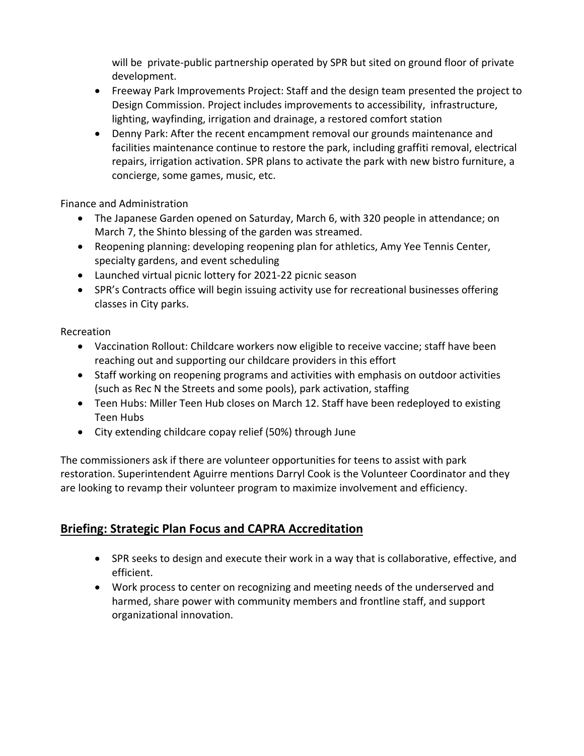will be private-public partnership operated by SPR but sited on ground floor of private development.

- Freeway Park Improvements Project: Staff and the design team presented the project to Design Commission. Project includes improvements to accessibility, infrastructure, lighting, wayfinding, irrigation and drainage, a restored comfort station
- Denny Park: After the recent encampment removal our grounds maintenance and facilities maintenance continue to restore the park, including graffiti removal, electrical repairs, irrigation activation. SPR plans to activate the park with new bistro furniture, a concierge, some games, music, etc.

Finance and Administration

- The Japanese Garden opened on Saturday, March 6, with 320 people in attendance; on March 7, the Shinto blessing of the garden was streamed.
- Reopening planning: developing reopening plan for athletics, Amy Yee Tennis Center, specialty gardens, and event scheduling
- Launched virtual picnic lottery for 2021-22 picnic season
- SPR's Contracts office will begin issuing activity use for recreational businesses offering classes in City parks.

#### Recreation

- Vaccination Rollout: Childcare workers now eligible to receive vaccine; staff have been reaching out and supporting our childcare providers in this effort
- Staff working on reopening programs and activities with emphasis on outdoor activities (such as Rec N the Streets and some pools), park activation, staffing
- Teen Hubs: Miller Teen Hub closes on March 12. Staff have been redeployed to existing Teen Hubs
- City extending childcare copay relief (50%) through June

The commissioners ask if there are volunteer opportunities for teens to assist with park restoration. Superintendent Aguirre mentions Darryl Cook is the Volunteer Coordinator and they are looking to revamp their volunteer program to maximize involvement and efficiency.

# **Briefing: Strategic Plan Focus and CAPRA Accreditation**

- SPR seeks to design and execute their work in a way that is collaborative, effective, and efficient.
- Work process to center on recognizing and meeting needs of the underserved and harmed, share power with community members and frontline staff, and support organizational innovation.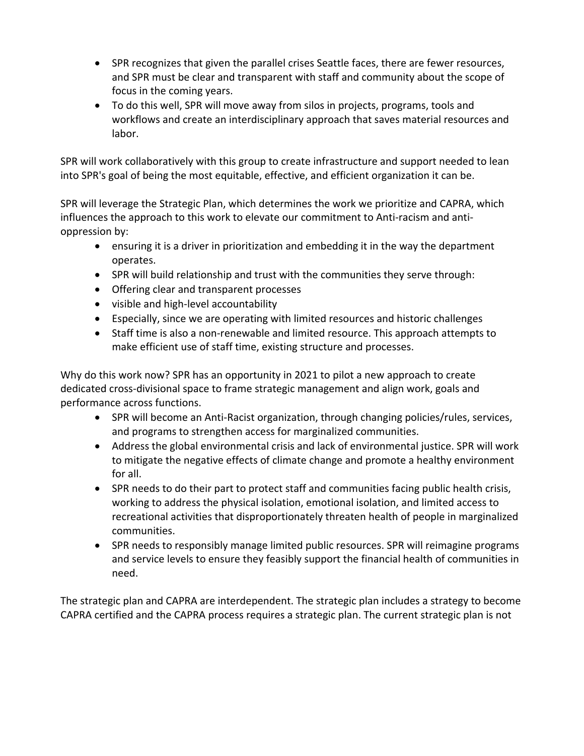- SPR recognizes that given the parallel crises Seattle faces, there are fewer resources, and SPR must be clear and transparent with staff and community about the scope of focus in the coming years.
- To do this well, SPR will move away from silos in projects, programs, tools and workflows and create an interdisciplinary approach that saves material resources and labor.

SPR will work collaboratively with this group to create infrastructure and support needed to lean into SPR's goal of being the most equitable, effective, and efficient organization it can be.

SPR will leverage the Strategic Plan, which determines the work we prioritize and CAPRA, which influences the approach to this work to elevate our commitment to Anti-racism and antioppression by:

- ensuring it is a driver in prioritization and embedding it in the way the department operates.
- SPR will build relationship and trust with the communities they serve through:
- Offering clear and transparent processes
- visible and high-level accountability
- Especially, since we are operating with limited resources and historic challenges
- Staff time is also a non-renewable and limited resource. This approach attempts to make efficient use of staff time, existing structure and processes.

Why do this work now? SPR has an opportunity in 2021 to pilot a new approach to create dedicated cross-divisional space to frame strategic management and align work, goals and performance across functions.

- SPR will become an Anti-Racist organization, through changing policies/rules, services, and programs to strengthen access for marginalized communities.
- Address the global environmental crisis and lack of environmental justice. SPR will work to mitigate the negative effects of climate change and promote a healthy environment for all.
- SPR needs to do their part to protect staff and communities facing public health crisis, working to address the physical isolation, emotional isolation, and limited access to recreational activities that disproportionately threaten health of people in marginalized communities.
- SPR needs to responsibly manage limited public resources. SPR will reimagine programs and service levels to ensure they feasibly support the financial health of communities in need.

The strategic plan and CAPRA are interdependent. The strategic plan includes a strategy to become CAPRA certified and the CAPRA process requires a strategic plan. The current strategic plan is not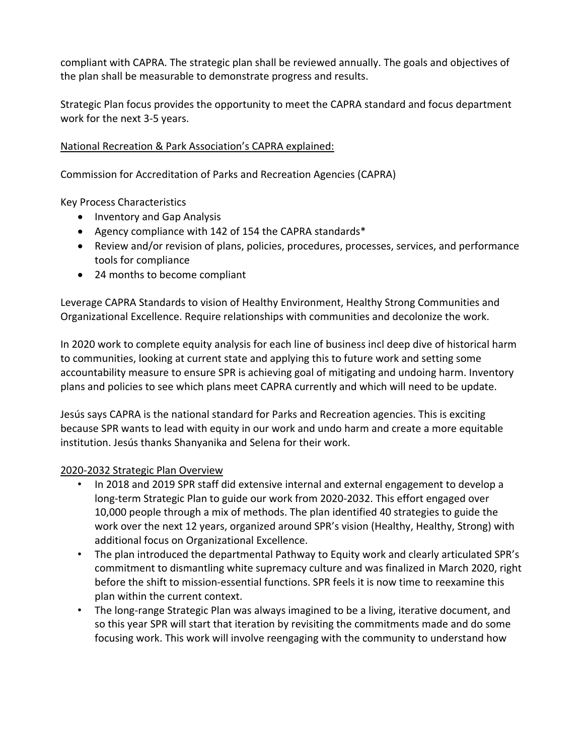compliant with CAPRA. The strategic plan shall be reviewed annually. The goals and objectives of the plan shall be measurable to demonstrate progress and results.

Strategic Plan focus provides the opportunity to meet the CAPRA standard and focus department work for the next 3-5 years.

#### National Recreation & Park Association's CAPRA explained:

Commission for Accreditation of Parks and Recreation Agencies (CAPRA)

Key Process Characteristics

- Inventory and Gap Analysis
- Agency compliance with 142 of 154 the CAPRA standards\*
- Review and/or revision of plans, policies, procedures, processes, services, and performance tools for compliance
- 24 months to become compliant

Leverage CAPRA Standards to vision of Healthy Environment, Healthy Strong Communities and Organizational Excellence. Require relationships with communities and decolonize the work.

In 2020 work to complete equity analysis for each line of business incl deep dive of historical harm to communities, looking at current state and applying this to future work and setting some accountability measure to ensure SPR is achieving goal of mitigating and undoing harm. Inventory plans and policies to see which plans meet CAPRA currently and which will need to be update.

Jesús says CAPRA is the national standard for Parks and Recreation agencies. This is exciting because SPR wants to lead with equity in our work and undo harm and create a more equitable institution. Jesús thanks Shanyanika and Selena for their work.

#### 2020-2032 Strategic Plan Overview

- In 2018 and 2019 SPR staff did extensive internal and external engagement to develop a long-term Strategic Plan to guide our work from 2020-2032. This effort engaged over 10,000 people through a mix of methods. The plan identified 40 strategies to guide the work over the next 12 years, organized around SPR's vision (Healthy, Healthy, Strong) with additional focus on Organizational Excellence.
- The plan introduced the departmental Pathway to Equity work and clearly articulated SPR's commitment to dismantling white supremacy culture and was finalized in March 2020, right before the shift to mission-essential functions. SPR feels it is now time to reexamine this plan within the current context.
- The long-range Strategic Plan was always imagined to be a living, iterative document, and so this year SPR will start that iteration by revisiting the commitments made and do some focusing work. This work will involve reengaging with the community to understand how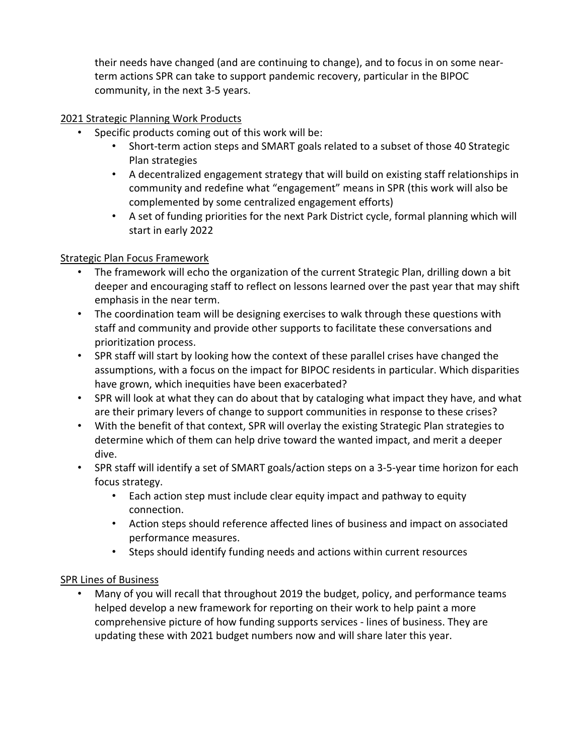their needs have changed (and are continuing to change), and to focus in on some nearterm actions SPR can take to support pandemic recovery, particular in the BIPOC community, in the next 3-5 years.

#### 2021 Strategic Planning Work Products

- Specific products coming out of this work will be:
	- Short-term action steps and SMART goals related to a subset of those 40 Strategic Plan strategies
	- A decentralized engagement strategy that will build on existing staff relationships in community and redefine what "engagement" means in SPR (this work will also be complemented by some centralized engagement efforts)
	- A set of funding priorities for the next Park District cycle, formal planning which will start in early 2022

## Strategic Plan Focus Framework

- The framework will echo the organization of the current Strategic Plan, drilling down a bit deeper and encouraging staff to reflect on lessons learned over the past year that may shift emphasis in the near term.
- The coordination team will be designing exercises to walk through these questions with staff and community and provide other supports to facilitate these conversations and prioritization process.
- SPR staff will start by looking how the context of these parallel crises have changed the assumptions, with a focus on the impact for BIPOC residents in particular. Which disparities have grown, which inequities have been exacerbated?
- SPR will look at what they can do about that by cataloging what impact they have, and what are their primary levers of change to support communities in response to these crises?
- With the benefit of that context, SPR will overlay the existing Strategic Plan strategies to determine which of them can help drive toward the wanted impact, and merit a deeper dive.
- SPR staff will identify a set of SMART goals/action steps on a 3-5-year time horizon for each focus strategy.
	- Each action step must include clear equity impact and pathway to equity connection.
	- Action steps should reference affected lines of business and impact on associated performance measures.
	- Steps should identify funding needs and actions within current resources

## SPR Lines of Business

• Many of you will recall that throughout 2019 the budget, policy, and performance teams helped develop a new framework for reporting on their work to help paint a more comprehensive picture of how funding supports services - lines of business. They are updating these with 2021 budget numbers now and will share later this year.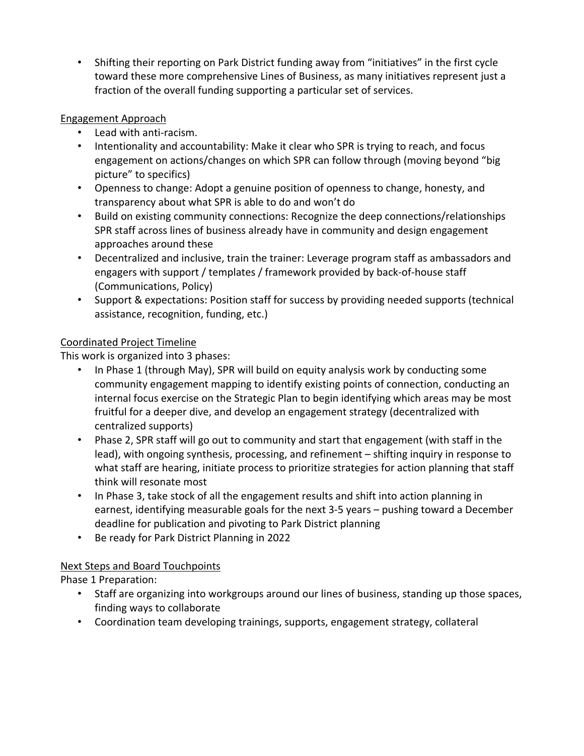• Shifting their reporting on Park District funding away from "initiatives" in the first cycle toward these more comprehensive Lines of Business, as many initiatives represent just a fraction of the overall funding supporting a particular set of services.

## Engagement Approach

- Lead with anti-racism.
- Intentionality and accountability: Make it clear who SPR is trying to reach, and focus engagement on actions/changes on which SPR can follow through (moving beyond "big picture" to specifics)
- Openness to change: Adopt a genuine position of openness to change, honesty, and transparency about what SPR is able to do and won't do
- Build on existing community connections: Recognize the deep connections/relationships SPR staff across lines of business already have in community and design engagement approaches around these
- Decentralized and inclusive, train the trainer: Leverage program staff as ambassadors and engagers with support / templates / framework provided by back-of-house staff (Communications, Policy)
- Support & expectations: Position staff for success by providing needed supports (technical assistance, recognition, funding, etc.)

## Coordinated Project Timeline

This work is organized into 3 phases:

- In Phase 1 (through May), SPR will build on equity analysis work by conducting some community engagement mapping to identify existing points of connection, conducting an internal focus exercise on the Strategic Plan to begin identifying which areas may be most fruitful for a deeper dive, and develop an engagement strategy (decentralized with centralized supports)
- Phase 2, SPR staff will go out to community and start that engagement (with staff in the lead), with ongoing synthesis, processing, and refinement – shifting inquiry in response to what staff are hearing, initiate process to prioritize strategies for action planning that staff think will resonate most
- In Phase 3, take stock of all the engagement results and shift into action planning in earnest, identifying measurable goals for the next 3-5 years – pushing toward a December deadline for publication and pivoting to Park District planning
- Be ready for Park District Planning in 2022

# Next Steps and Board Touchpoints

Phase 1 Preparation:

- Staff are organizing into workgroups around our lines of business, standing up those spaces, finding ways to collaborate
- Coordination team developing trainings, supports, engagement strategy, collateral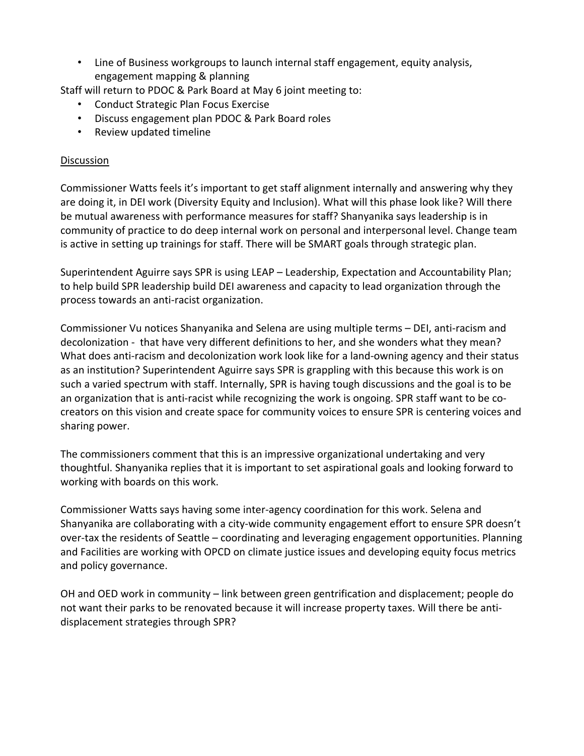• Line of Business workgroups to launch internal staff engagement, equity analysis, engagement mapping & planning

Staff will return to PDOC & Park Board at May 6 joint meeting to:

- Conduct Strategic Plan Focus Exercise
- Discuss engagement plan PDOC & Park Board roles
- Review updated timeline

#### **Discussion**

Commissioner Watts feels it's important to get staff alignment internally and answering why they are doing it, in DEI work (Diversity Equity and Inclusion). What will this phase look like? Will there be mutual awareness with performance measures for staff? Shanyanika says leadership is in community of practice to do deep internal work on personal and interpersonal level. Change team is active in setting up trainings for staff. There will be SMART goals through strategic plan.

Superintendent Aguirre says SPR is using LEAP – Leadership, Expectation and Accountability Plan; to help build SPR leadership build DEI awareness and capacity to lead organization through the process towards an anti-racist organization.

Commissioner Vu notices Shanyanika and Selena are using multiple terms – DEI, anti-racism and decolonization - that have very different definitions to her, and she wonders what they mean? What does anti-racism and decolonization work look like for a land-owning agency and their status as an institution? Superintendent Aguirre says SPR is grappling with this because this work is on such a varied spectrum with staff. Internally, SPR is having tough discussions and the goal is to be an organization that is anti-racist while recognizing the work is ongoing. SPR staff want to be cocreators on this vision and create space for community voices to ensure SPR is centering voices and sharing power.

The commissioners comment that this is an impressive organizational undertaking and very thoughtful. Shanyanika replies that it is important to set aspirational goals and looking forward to working with boards on this work.

Commissioner Watts says having some inter-agency coordination for this work. Selena and Shanyanika are collaborating with a city-wide community engagement effort to ensure SPR doesn't over-tax the residents of Seattle – coordinating and leveraging engagement opportunities. Planning and Facilities are working with OPCD on climate justice issues and developing equity focus metrics and policy governance.

OH and OED work in community – link between green gentrification and displacement; people do not want their parks to be renovated because it will increase property taxes. Will there be antidisplacement strategies through SPR?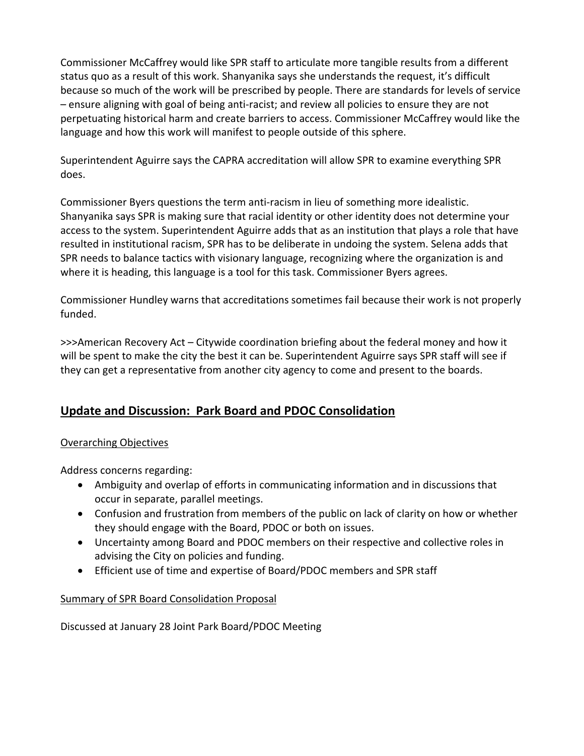Commissioner McCaffrey would like SPR staff to articulate more tangible results from a different status quo as a result of this work. Shanyanika says she understands the request, it's difficult because so much of the work will be prescribed by people. There are standards for levels of service – ensure aligning with goal of being anti-racist; and review all policies to ensure they are not perpetuating historical harm and create barriers to access. Commissioner McCaffrey would like the language and how this work will manifest to people outside of this sphere.

Superintendent Aguirre says the CAPRA accreditation will allow SPR to examine everything SPR does.

Commissioner Byers questions the term anti-racism in lieu of something more idealistic. Shanyanika says SPR is making sure that racial identity or other identity does not determine your access to the system. Superintendent Aguirre adds that as an institution that plays a role that have resulted in institutional racism, SPR has to be deliberate in undoing the system. Selena adds that SPR needs to balance tactics with visionary language, recognizing where the organization is and where it is heading, this language is a tool for this task. Commissioner Byers agrees.

Commissioner Hundley warns that accreditations sometimes fail because their work is not properly funded.

>>>American Recovery Act – Citywide coordination briefing about the federal money and how it will be spent to make the city the best it can be. Superintendent Aguirre says SPR staff will see if they can get a representative from another city agency to come and present to the boards.

# **Update and Discussion: Park Board and PDOC Consolidation**

## Overarching Objectives

Address concerns regarding:

- Ambiguity and overlap of efforts in communicating information and in discussions that occur in separate, parallel meetings.
- Confusion and frustration from members of the public on lack of clarity on how or whether they should engage with the Board, PDOC or both on issues.
- Uncertainty among Board and PDOC members on their respective and collective roles in advising the City on policies and funding.
- Efficient use of time and expertise of Board/PDOC members and SPR staff

## Summary of SPR Board Consolidation Proposal

Discussed at January 28 Joint Park Board/PDOC Meeting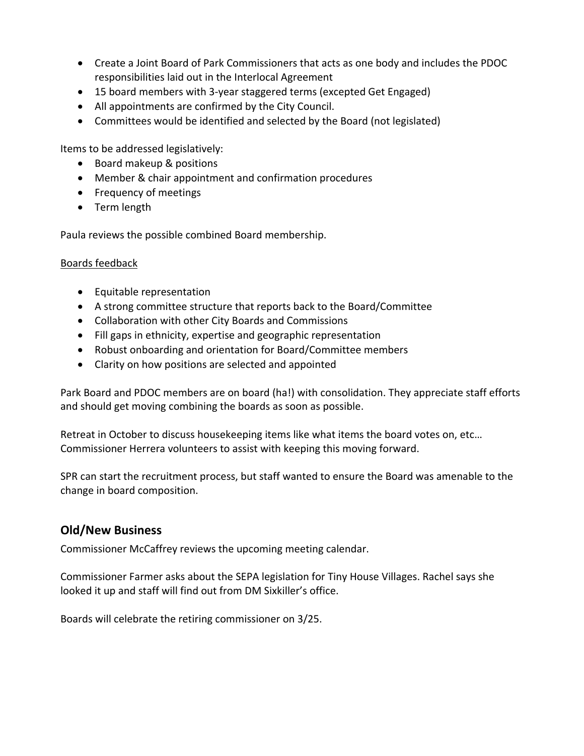- Create a Joint Board of Park Commissioners that acts as one body and includes the PDOC responsibilities laid out in the Interlocal Agreement
- 15 board members with 3-year staggered terms (excepted Get Engaged)
- All appointments are confirmed by the City Council.
- Committees would be identified and selected by the Board (not legislated)

Items to be addressed legislatively:

- Board makeup & positions
- Member & chair appointment and confirmation procedures
- Frequency of meetings
- Term length

Paula reviews the possible combined Board membership.

#### Boards feedback

- Equitable representation
- A strong committee structure that reports back to the Board/Committee
- Collaboration with other City Boards and Commissions
- Fill gaps in ethnicity, expertise and geographic representation
- Robust onboarding and orientation for Board/Committee members
- Clarity on how positions are selected and appointed

Park Board and PDOC members are on board (ha!) with consolidation. They appreciate staff efforts and should get moving combining the boards as soon as possible.

Retreat in October to discuss housekeeping items like what items the board votes on, etc… Commissioner Herrera volunteers to assist with keeping this moving forward.

SPR can start the recruitment process, but staff wanted to ensure the Board was amenable to the change in board composition.

## **Old/New Business**

Commissioner McCaffrey reviews the upcoming meeting calendar.

Commissioner Farmer asks about the SEPA legislation for Tiny House Villages. Rachel says she looked it up and staff will find out from DM Sixkiller's office.

Boards will celebrate the retiring commissioner on 3/25.